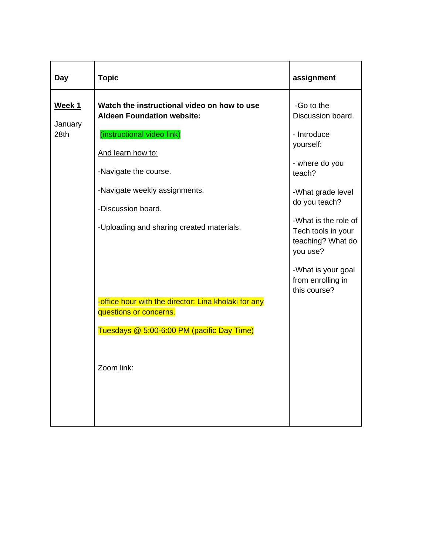| Day               | <b>Topic</b>                                                                                                                                                                 | assignment                                                                                                                                                    |
|-------------------|------------------------------------------------------------------------------------------------------------------------------------------------------------------------------|---------------------------------------------------------------------------------------------------------------------------------------------------------------|
| Week 1<br>January | Watch the instructional video on how to use<br><b>Aldeen Foundation website:</b>                                                                                             | -Go to the<br>Discussion board.                                                                                                                               |
| 28th              | (instructional video link)<br>And learn how to:<br>-Navigate the course.<br>-Navigate weekly assignments.<br>-Discussion board.<br>-Uploading and sharing created materials. | - Introduce<br>yourself:<br>- where do you<br>teach?<br>-What grade level<br>do you teach?<br>-What is the role of<br>Tech tools in your<br>teaching? What do |
|                   | -office hour with the director: Lina kholaki for any<br>questions or concerns.<br>Tuesdays @ 5:00-6:00 PM (pacific Day Time)<br>Zoom link:                                   | you use?<br>-What is your goal<br>from enrolling in<br>this course?                                                                                           |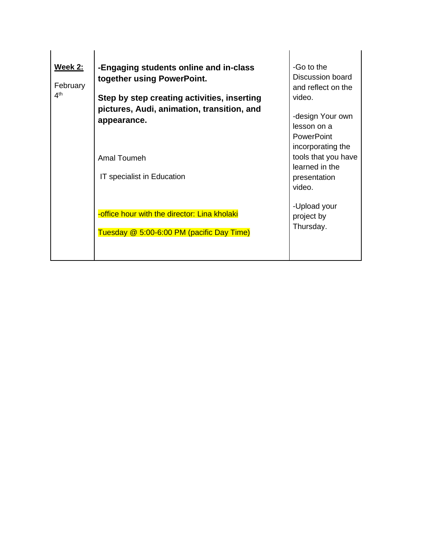| <b>Week 2:</b><br>February<br>4 <sup>th</sup> | -Engaging students online and in-class<br>together using PowerPoint.<br>Step by step creating activities, inserting<br>pictures, Audi, animation, transition, and<br>appearance.<br>Amal Toumeh<br>IT specialist in Education | -Go to the<br>Discussion board<br>and reflect on the<br>video.<br>-design Your own<br>lesson on a<br><b>PowerPoint</b><br>incorporating the<br>tools that you have<br>learned in the<br>presentation<br>video. |
|-----------------------------------------------|-------------------------------------------------------------------------------------------------------------------------------------------------------------------------------------------------------------------------------|----------------------------------------------------------------------------------------------------------------------------------------------------------------------------------------------------------------|
|                                               | -office hour with the director: Lina kholaki<br>Tuesday @ 5:00-6:00 PM (pacific Day Time)                                                                                                                                     | -Upload your<br>project by<br>Thursday.                                                                                                                                                                        |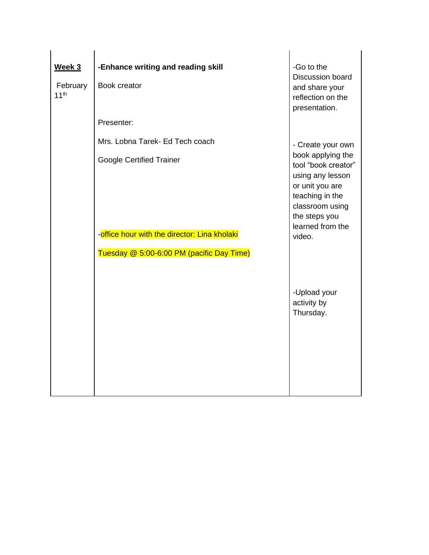| Week 3                       | -Enhance writing and reading skill                                              | -Go to the<br>Discussion board                                                                                                                                       |
|------------------------------|---------------------------------------------------------------------------------|----------------------------------------------------------------------------------------------------------------------------------------------------------------------|
| February<br>11 <sup>th</sup> | Book creator                                                                    | and share your<br>reflection on the<br>presentation.                                                                                                                 |
|                              | Presenter:                                                                      |                                                                                                                                                                      |
|                              | Mrs. Lobna Tarek- Ed Tech coach                                                 | - Create your own                                                                                                                                                    |
|                              | <b>Google Certified Trainer</b><br>-office hour with the director: Lina kholaki | book applying the<br>tool "book creator"<br>using any lesson<br>or unit you are<br>teaching in the<br>classroom using<br>the steps you<br>learned from the<br>video. |
|                              | Tuesday @ 5:00-6:00 PM (pacific Day Time)                                       |                                                                                                                                                                      |
|                              |                                                                                 |                                                                                                                                                                      |
|                              |                                                                                 | -Upload your<br>activity by<br>Thursday.                                                                                                                             |
|                              |                                                                                 |                                                                                                                                                                      |
|                              |                                                                                 |                                                                                                                                                                      |
|                              |                                                                                 |                                                                                                                                                                      |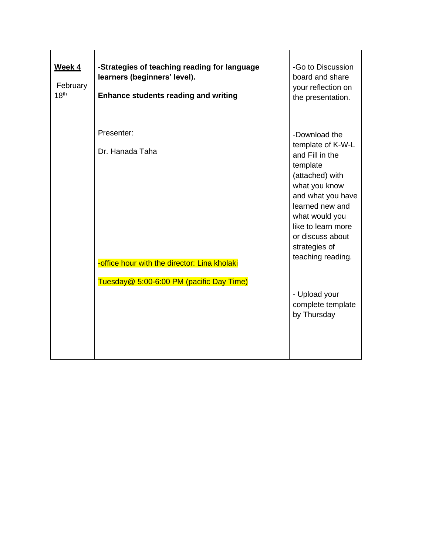| Week 4<br>February<br>18 <sup>th</sup> | -Strategies of teaching reading for language<br>learners (beginners' level).<br><b>Enhance students reading and writing</b> | -Go to Discussion<br>board and share<br>your reflection on<br>the presentation.                                                                                                                                                                 |
|----------------------------------------|-----------------------------------------------------------------------------------------------------------------------------|-------------------------------------------------------------------------------------------------------------------------------------------------------------------------------------------------------------------------------------------------|
|                                        | Presenter:<br>Dr. Hanada Taha<br>-office hour with the director: Lina kholaki<br>Tuesday@ 5:00-6:00 PM (pacific Day Time)   | -Download the<br>template of K-W-L<br>and Fill in the<br>template<br>(attached) with<br>what you know<br>and what you have<br>learned new and<br>what would you<br>like to learn more<br>or discuss about<br>strategies of<br>teaching reading. |
|                                        |                                                                                                                             | - Upload your<br>complete template<br>by Thursday                                                                                                                                                                                               |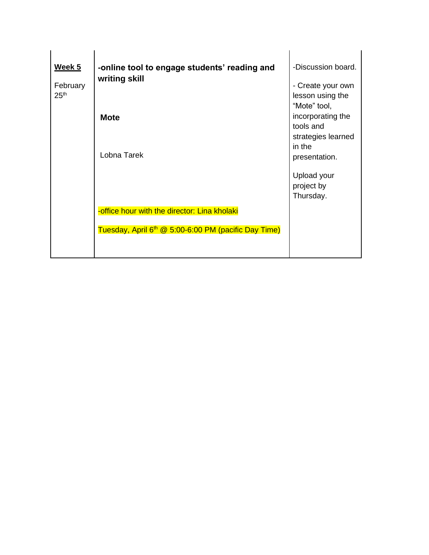| <u>Week 5</u>    | -online tool to engage students' reading and<br>writing skill    | -Discussion board. |
|------------------|------------------------------------------------------------------|--------------------|
| February         |                                                                  | - Create your own  |
| 25 <sup>th</sup> |                                                                  | lesson using the   |
|                  |                                                                  | "Mote" tool,       |
|                  | <b>Mote</b>                                                      | incorporating the  |
|                  |                                                                  | tools and          |
|                  |                                                                  | strategies learned |
|                  | Lobna Tarek                                                      | in the             |
|                  |                                                                  | presentation.      |
|                  |                                                                  | Upload your        |
|                  |                                                                  | project by         |
|                  |                                                                  | Thursday.          |
|                  | -office hour with the director: Lina kholaki                     |                    |
|                  | Tuesday, April 6 <sup>th</sup> @ 5:00-6:00 PM (pacific Day Time) |                    |
|                  |                                                                  |                    |
|                  |                                                                  |                    |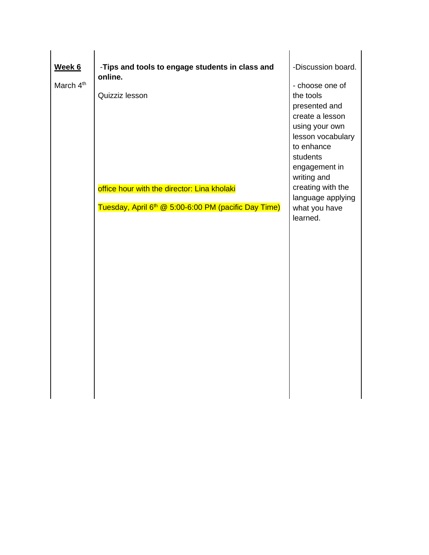|                                 | -Tips and tools to engage students in class and                                                                                              | -Discussion board.                                                                                                                                                                                                                       |
|---------------------------------|----------------------------------------------------------------------------------------------------------------------------------------------|------------------------------------------------------------------------------------------------------------------------------------------------------------------------------------------------------------------------------------------|
| Week 6<br>March 4 <sup>th</sup> | online.<br>Quizziz lesson<br>office hour with the director: Lina kholaki<br>Tuesday, April 6 <sup>th</sup> @ 5:00-6:00 PM (pacific Day Time) | - choose one of<br>the tools<br>presented and<br>create a lesson<br>using your own<br>lesson vocabulary<br>to enhance<br>students<br>engagement in<br>writing and<br>creating with the<br>language applying<br>what you have<br>learned. |
|                                 |                                                                                                                                              |                                                                                                                                                                                                                                          |
|                                 |                                                                                                                                              |                                                                                                                                                                                                                                          |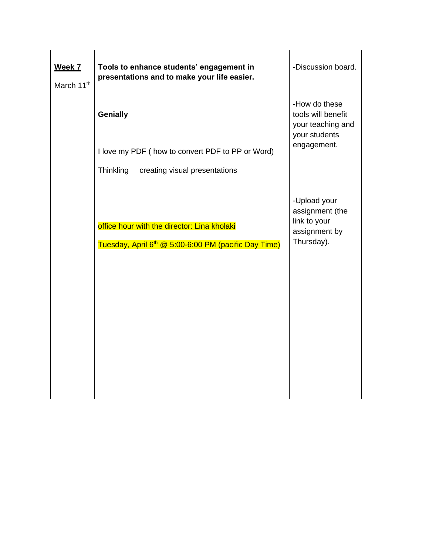| Week 7<br>March 11 <sup>th</sup> | Tools to enhance students' engagement in<br>presentations and to make your life easier.                         | -Discussion board.                                                                       |
|----------------------------------|-----------------------------------------------------------------------------------------------------------------|------------------------------------------------------------------------------------------|
|                                  | <b>Genially</b><br>I love my PDF (how to convert PDF to PP or Word)                                             | -How do these<br>tools will benefit<br>your teaching and<br>your students<br>engagement. |
|                                  | creating visual presentations<br>Thinkling                                                                      |                                                                                          |
|                                  | office hour with the director: Lina kholaki<br>Tuesday, April 6 <sup>th</sup> @ 5:00-6:00 PM (pacific Day Time) | -Upload your<br>assignment (the<br>link to your<br>assignment by<br>Thursday).           |
|                                  |                                                                                                                 |                                                                                          |
|                                  |                                                                                                                 |                                                                                          |